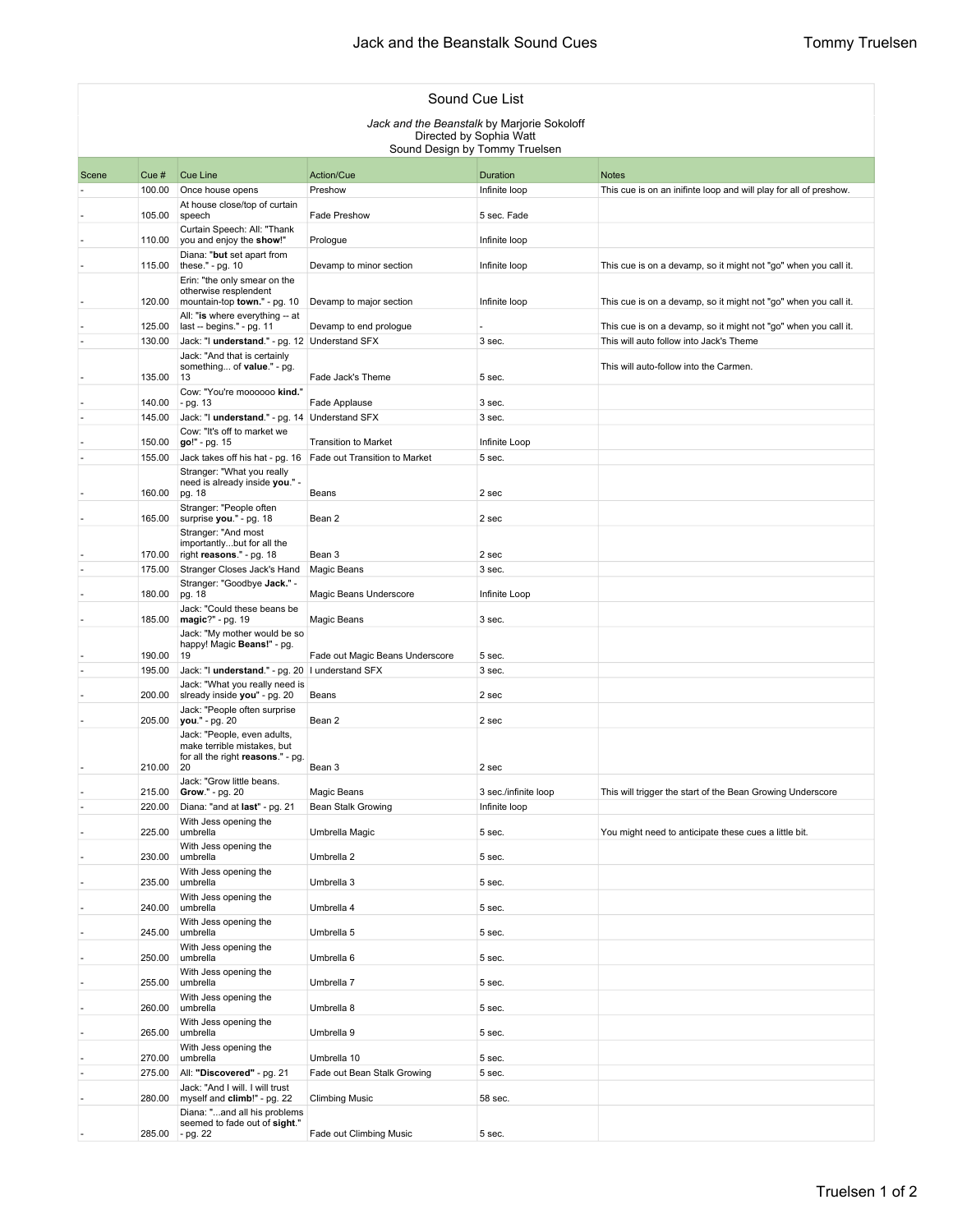| Sound Cue List                              |                  |                                                                                                 |                                                              |                         |                                                                   |  |  |  |  |  |
|---------------------------------------------|------------------|-------------------------------------------------------------------------------------------------|--------------------------------------------------------------|-------------------------|-------------------------------------------------------------------|--|--|--|--|--|
| Jack and the Beanstalk by Marjorie Sokoloff |                  |                                                                                                 |                                                              |                         |                                                                   |  |  |  |  |  |
| Directed by Sophia Watt                     |                  |                                                                                                 |                                                              |                         |                                                                   |  |  |  |  |  |
| Sound Design by Tommy Truelsen              |                  |                                                                                                 |                                                              |                         |                                                                   |  |  |  |  |  |
| Scene                                       | Cue#             | <b>Cue Line</b>                                                                                 | Action/Cue                                                   | Duration                | <b>Notes</b>                                                      |  |  |  |  |  |
|                                             | 100.00           | Once house opens                                                                                | Preshow                                                      | Infinite loop           | This cue is on an inifinte loop and will play for all of preshow. |  |  |  |  |  |
|                                             | 105.00           | At house close/top of curtain<br>speech                                                         | Fade Preshow                                                 | 5 sec. Fade             |                                                                   |  |  |  |  |  |
|                                             | 110.00           | Curtain Speech: All: "Thank<br>you and enjoy the show!"                                         | Prologue                                                     | Infinite loop           |                                                                   |  |  |  |  |  |
|                                             | 115.00           | Diana: "but set apart from<br>these." - pg. 10                                                  | Devamp to minor section                                      | Infinite loop           | This cue is on a devamp, so it might not "go" when you call it.   |  |  |  |  |  |
|                                             |                  | Erin: "the only smear on the<br>otherwise resplendent                                           |                                                              |                         |                                                                   |  |  |  |  |  |
|                                             | 120.00           | mountain-top town." - pg. 10<br>All: "is where everything -- at                                 | Devamp to major section                                      | Infinite loop           | This cue is on a devamp, so it might not "go" when you call it.   |  |  |  |  |  |
|                                             | 125.00           | last -- begins." - pg. 11                                                                       | Devamp to end prologue                                       |                         | This cue is on a devamp, so it might not "go" when you call it.   |  |  |  |  |  |
|                                             | 130.00           | Jack: "I understand." - pg. 12 Understand SFX                                                   |                                                              | 3 sec.                  | This will auto follow into Jack's Theme                           |  |  |  |  |  |
|                                             | 135.00           | Jack: "And that is certainly<br>something of value." - pg.<br>13                                | Fade Jack's Theme                                            | 5 sec.                  | This will auto-follow into the Carmen.                            |  |  |  |  |  |
|                                             |                  | Cow: "You're moooooo kind."                                                                     |                                                              |                         |                                                                   |  |  |  |  |  |
|                                             | 140.00<br>145.00 | - pg. 13<br>Jack: "I understand." - pg. 14 Understand SFX                                       | Fade Applause                                                | 3 sec.<br>3 sec.        |                                                                   |  |  |  |  |  |
|                                             |                  | Cow: "It's off to market we                                                                     |                                                              |                         |                                                                   |  |  |  |  |  |
|                                             | 150.00<br>155.00 | go!" - pg. 15<br>Jack takes off his hat - pg. 16                                                | <b>Transition to Market</b><br>Fade out Transition to Market | Infinite Loop<br>5 sec. |                                                                   |  |  |  |  |  |
|                                             |                  | Stranger: "What you really<br>need is already inside you." -                                    |                                                              |                         |                                                                   |  |  |  |  |  |
|                                             | 160.00           | pg. 18                                                                                          | Beans                                                        | 2 sec                   |                                                                   |  |  |  |  |  |
|                                             | 165.00           | Stranger: "People often<br>surprise you." - pg. 18                                              | Bean 2                                                       | 2 sec                   |                                                                   |  |  |  |  |  |
|                                             |                  | Stranger: "And most<br>importantlybut for all the                                               |                                                              |                         |                                                                   |  |  |  |  |  |
|                                             | 170.00<br>175.00 | right reasons." - pg. 18<br>Stranger Closes Jack's Hand                                         | Bean 3<br>Magic Beans                                        | 2 sec<br>3 sec.         |                                                                   |  |  |  |  |  |
|                                             |                  | Stranger: "Goodbye Jack." -                                                                     |                                                              |                         |                                                                   |  |  |  |  |  |
|                                             | 180.00           | pg. 18<br>Jack: "Could these beans be                                                           | Magic Beans Underscore                                       | Infinite Loop           |                                                                   |  |  |  |  |  |
|                                             | 185.00           | magic?" - pg. 19<br>Jack: "My mother would be so                                                | Magic Beans                                                  | 3 sec.                  |                                                                   |  |  |  |  |  |
|                                             | 190.00           | happy! Magic Beans!" - pg.<br>19                                                                | Fade out Magic Beans Underscore                              | 5 sec.                  |                                                                   |  |  |  |  |  |
|                                             | 195.00           | Jack: "I understand." - pg. 20   l understand SFX                                               |                                                              | 3 sec.                  |                                                                   |  |  |  |  |  |
|                                             | 200.00           | Jack: "What you really need is<br>slready inside you" - pg. 20                                  | Beans                                                        | 2 sec                   |                                                                   |  |  |  |  |  |
|                                             | 205.00           | Jack: "People often surprise<br>you." - pg. 20                                                  | Bean 2                                                       | 2 sec                   |                                                                   |  |  |  |  |  |
|                                             |                  | Jack: "People, even adults,<br>make terrible mistakes, but<br>for all the right reasons." - pg. |                                                              |                         |                                                                   |  |  |  |  |  |
|                                             | 210.00           | 20<br>Jack: "Grow little beans.                                                                 | Bean 3                                                       | 2 sec                   |                                                                   |  |  |  |  |  |
|                                             |                  | 215.00 Grow." - pg. 20                                                                          | Magic Beans                                                  | 3 sec./infinite loop    | This will trigger the start of the Bean Growing Underscore        |  |  |  |  |  |
|                                             |                  | 220.00 Diana: "and at last" - pg. 21                                                            | Bean Stalk Growing                                           | Infinite loop           |                                                                   |  |  |  |  |  |
|                                             | 225.00           | With Jess opening the<br>umbrella                                                               | Umbrella Magic                                               | 5 sec.                  | You might need to anticipate these cues a little bit.             |  |  |  |  |  |
|                                             | 230.00           | With Jess opening the<br>umbrella                                                               | Umbrella 2                                                   | 5 sec.                  |                                                                   |  |  |  |  |  |
|                                             | 235.00           | With Jess opening the<br>umbrella                                                               | Umbrella 3                                                   | 5 sec.                  |                                                                   |  |  |  |  |  |
|                                             | 240.00           | With Jess opening the<br>umbrella                                                               | Umbrella 4                                                   | 5 sec.                  |                                                                   |  |  |  |  |  |
|                                             | 245.00           | With Jess opening the<br>umbrella                                                               | Umbrella 5                                                   | 5 sec.                  |                                                                   |  |  |  |  |  |
|                                             | 250.00           | With Jess opening the<br>umbrella                                                               | Umbrella 6                                                   | 5 sec.                  |                                                                   |  |  |  |  |  |
|                                             | 255.00           | With Jess opening the<br>umbrella                                                               | Umbrella 7                                                   | 5 sec.                  |                                                                   |  |  |  |  |  |
|                                             | 260.00           | With Jess opening the<br>umbrella                                                               | Umbrella 8                                                   | 5 sec.                  |                                                                   |  |  |  |  |  |
|                                             | 265.00           | With Jess opening the<br>umbrella                                                               | Umbrella 9                                                   | 5 sec.                  |                                                                   |  |  |  |  |  |
|                                             | 270.00           | With Jess opening the<br>umbrella                                                               | Umbrella 10                                                  | 5 sec.                  |                                                                   |  |  |  |  |  |
|                                             | 275.00           | All: "Discovered" - pg. 21                                                                      | Fade out Bean Stalk Growing                                  | 5 sec.                  |                                                                   |  |  |  |  |  |
|                                             | 280.00           | Jack: "And I will. I will trust<br>myself and climb!" - pg. 22                                  | <b>Climbing Music</b>                                        | 58 sec.                 |                                                                   |  |  |  |  |  |
|                                             |                  | Diana: "and all his problems                                                                    |                                                              |                         |                                                                   |  |  |  |  |  |
|                                             | 285.00           | seemed to fade out of sight."<br>- pg. 22                                                       | Fade out Climbing Music                                      | 5 sec.                  |                                                                   |  |  |  |  |  |